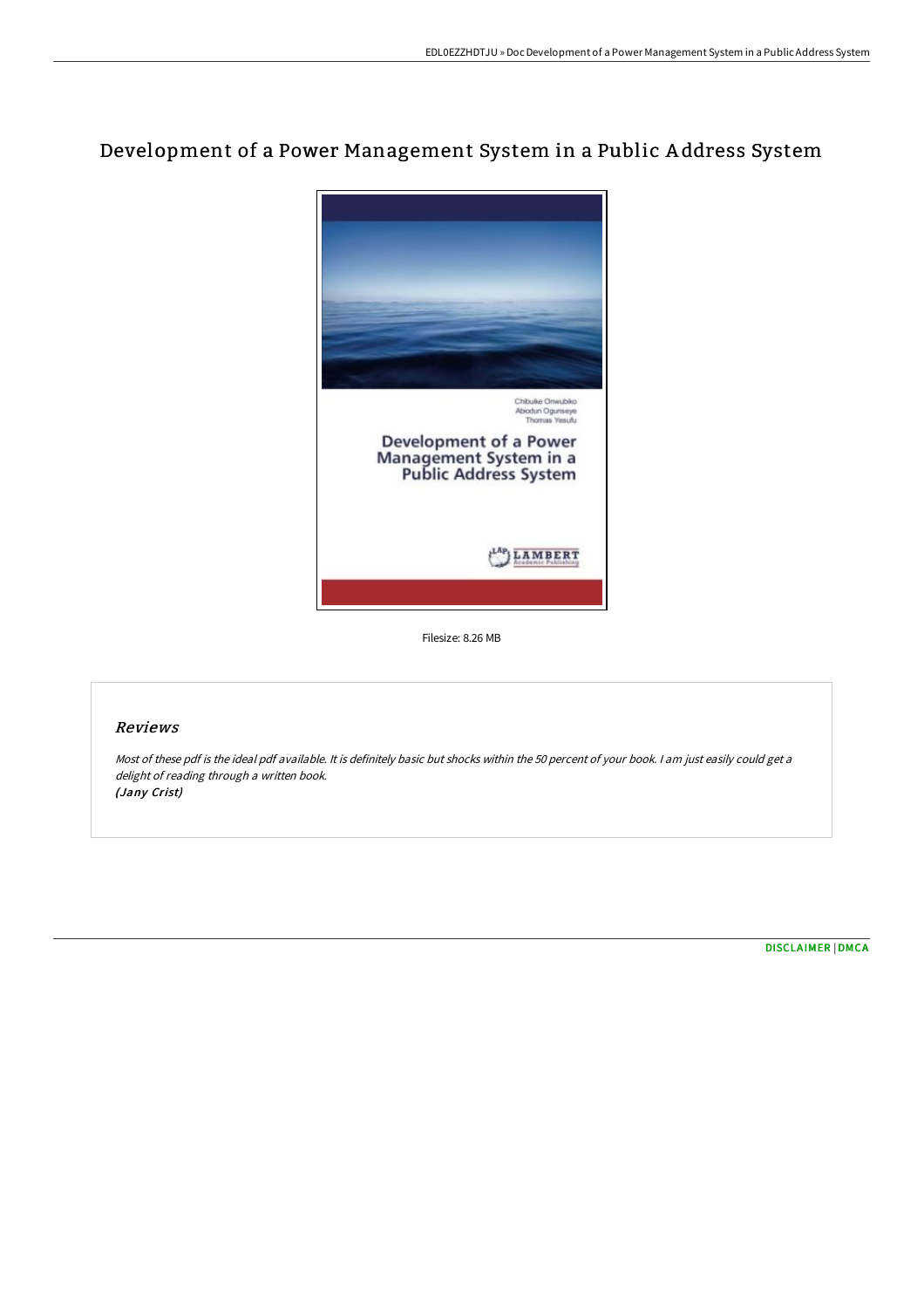# Development of a Power Management System in a Public A ddress System



Filesize: 8.26 MB

## Reviews

Most of these pdf is the ideal pdf available. It is definitely basic but shocks within the <sup>50</sup> percent of your book. <sup>I</sup> am just easily could get <sup>a</sup> delight of reading through <sup>a</sup> written book. (Jany Crist)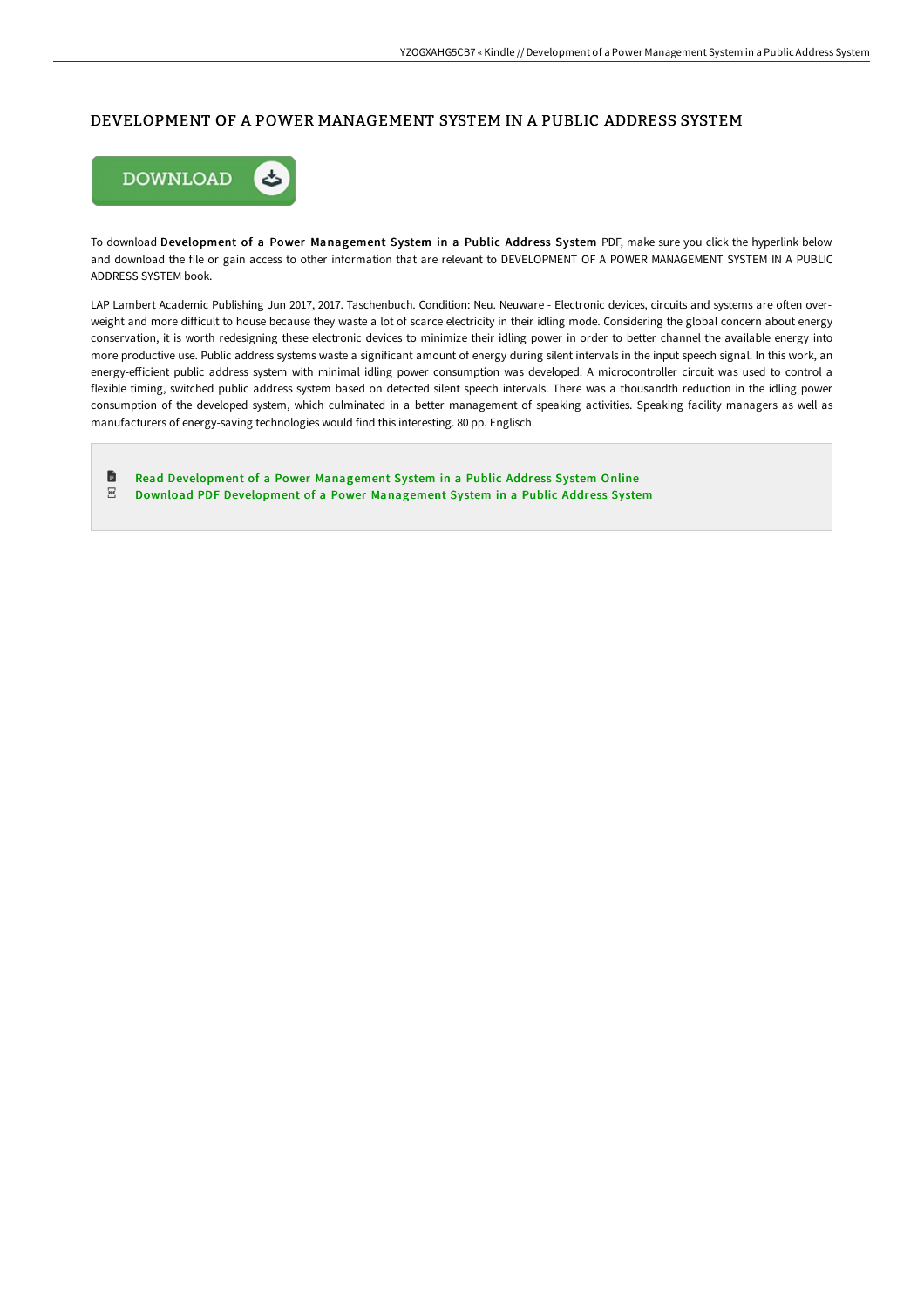#### DEVELOPMENT OF A POWER MANAGEMENT SYSTEM IN A PUBLIC ADDRESS SYSTEM



To download Development of a Power Management System in a Public Address System PDF, make sure you click the hyperlink below and download the file or gain access to other information that are relevant to DEVELOPMENT OF A POWER MANAGEMENT SYSTEM IN A PUBLIC ADDRESS SYSTEM book.

LAP Lambert Academic Publishing Jun 2017, 2017. Taschenbuch. Condition: Neu. Neuware - Electronic devices, circuits and systems are often overweight and more difficult to house because they waste a lot of scarce electricity in their idling mode. Considering the global concern about energy conservation, it is worth redesigning these electronic devices to minimize their idling power in order to better channel the available energy into more productive use. Public address systems waste a significant amount of energy during silent intervals in the input speech signal. In this work, an energy-eEicient public address system with minimal idling power consumption was developed. A microcontroller circuit was used to control a flexible timing, switched public address system based on detected silent speech intervals. There was a thousandth reduction in the idling power consumption of the developed system, which culminated in a better management of speaking activities. Speaking facility managers as well as manufacturers of energy-saving technologies would find this interesting. 80 pp. Englisch.

旨 Read [Development](http://albedo.media/development-of-a-power-management-system-in-a-pu.html) of a Power Management System in a Public Address System Online  $_{\rm PDF}$ Download PDF [Development](http://albedo.media/development-of-a-power-management-system-in-a-pu.html) of a Power Management System in a Public Address System